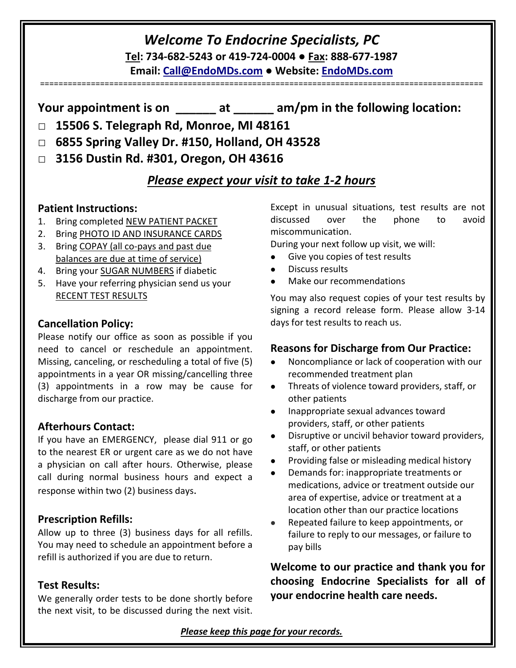# *Welcome To Endocrine Specialists, PC* **Tel: 734-682-5243 or 419-724-0004 ● Fax: 888-677-1987**

**Email: [Call@EndoMDs.com](mailto:Call@EndoMDs.com) ● Website: [EndoMDs.com](mailto:Welcome@EndoMDs.com)**

**Your appointment is on \_\_\_\_\_\_ at \_\_\_\_\_\_ am/pm in the following location:**

- □ **15506 S. Telegraph Rd, Monroe, MI 48161**
- □ **6855 Spring Valley Dr. #150, Holland, OH 43528**
- □ **3156 Dustin Rd. #301, Oregon, OH 43616**

# *Please expect your visit to take 1-2 hours*

### **Patient Instructions:**

- 1. Bring completed NEW PATIENT PACKET
- 2. Bring PHOTO ID AND INSURANCE CARDS
- 3. Bring COPAY (all co-pays and past due balances are due at time of service)
- 4. Bring your SUGAR NUMBERS if diabetic
- 5. Have your referring physician send us your RECENT TEST RESULTS

### **Cancellation Policy:**

Please notify our office as soon as possible if you need to cancel or reschedule an appointment. Missing, canceling, or rescheduling a total of five  $(5) \qquad \bullet$ appointments in a year OR missing/cancelling three (3) appointments in a row may be cause for  $\bullet$ discharge from our practice.

# **Afterhours Contact:**

If you have an EMERGENCY, please dial 911 or go to the nearest ER or urgent care as we do not have a physician on call after hours. Otherwise, please call during normal business hours and expect a response within two (2) business days.

# **Prescription Refills:**

Allow up to three (3) business days for all refills. You may need to schedule an appointment before a refill is authorized if you are due to return.

### **Test Results:**

We generally order tests to be done shortly before the next visit, to be discussed during the next visit. Except in unusual situations, test results are not discussed over the phone to avoid miscommunication.

During your next follow up visit, we will:

- Give you copies of test results
- Discuss results

================================================================================================

Make our recommendations

You may also request copies of your test results by signing a record release form. Please allow 3-14 days for test results to reach us.

### **Reasons for Discharge from Our Practice:**

- Noncompliance or lack of cooperation with our recommended treatment plan
- Threats of violence toward providers, staff, or other patients
- Inappropriate sexual advances toward providers, staff, or other patients
- Disruptive or uncivil behavior toward providers, staff, or other patients
- Providing false or misleading medical history
- Demands for: inappropriate treatments or medications, advice or treatment outside our area of expertise, advice or treatment at a location other than our practice locations
- Repeated failure to keep appointments, or failure to reply to our messages, or failure to pay bills

**Welcome to our practice and thank you for choosing Endocrine Specialists for all of your endocrine health care needs.**

*Please keep this page for your records.*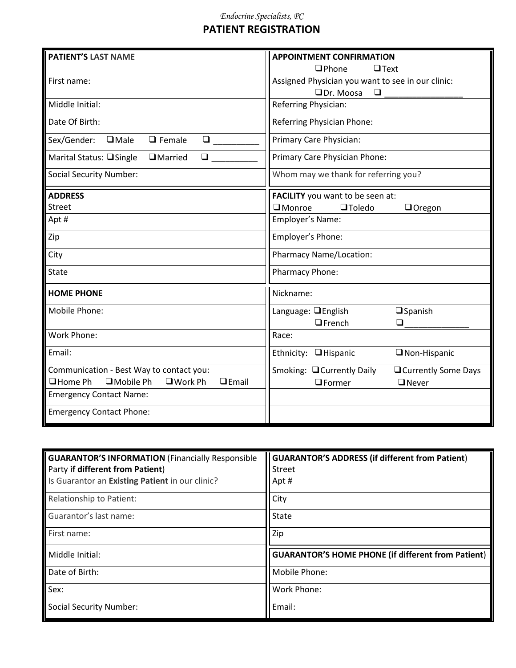#### *Endocrine Specialists, PC*

# **PATIENT REGISTRATION**

| <b>PATIENT'S LAST NAME</b>                                      | <b>APPOINTMENT CONFIRMATION</b>                     |  |  |
|-----------------------------------------------------------------|-----------------------------------------------------|--|--|
|                                                                 | $\Box$ Phone<br>$\Box$ Text                         |  |  |
| First name:                                                     | Assigned Physician you want to see in our clinic:   |  |  |
|                                                                 | $\Box$ Dr. Moosa<br>$\Box$                          |  |  |
| Middle Initial:                                                 | Referring Physician:                                |  |  |
| Date Of Birth:                                                  | <b>Referring Physician Phone:</b>                   |  |  |
| Sex/Gender:<br>$\Box$ Female<br>$\Box$ Male<br>$\Box$           | Primary Care Physician:                             |  |  |
| $\Box$<br>Marital Status: □ Single<br>$\Box$ Married            | Primary Care Physician Phone:                       |  |  |
| <b>Social Security Number:</b>                                  | Whom may we thank for referring you?                |  |  |
| <b>ADDRESS</b>                                                  | FACILITY you want to be seen at:                    |  |  |
| <b>Street</b>                                                   | $\square$ Monroe<br><b>OToledo</b><br>Oregon        |  |  |
| Apt #                                                           | Employer's Name:                                    |  |  |
| Zip                                                             | Employer's Phone:                                   |  |  |
| City                                                            | <b>Pharmacy Name/Location:</b>                      |  |  |
| State                                                           | Pharmacy Phone:                                     |  |  |
| <b>HOME PHONE</b>                                               | Nickname:                                           |  |  |
| Mobile Phone:                                                   | Language: <b>QEnglish</b><br>$\square$ Spanish      |  |  |
|                                                                 | $\Box$ French<br>$\Box$                             |  |  |
| Work Phone:                                                     | Race:                                               |  |  |
| Email:                                                          | Ethnicity: <b>Hispanic</b><br>$\Box$ Non-Hispanic   |  |  |
| Communication - Best Way to contact you:                        | Smoking: □ Currently Daily<br>□ Currently Some Days |  |  |
| $\Box$ Mobile Ph<br>□ Home Ph<br>$\Box$ Work Ph<br>$\Box$ Email | $\Box$ Former<br>$\Box$ Never                       |  |  |
| <b>Emergency Contact Name:</b>                                  |                                                     |  |  |
| <b>Emergency Contact Phone:</b>                                 |                                                     |  |  |

| <b>GUARANTOR'S INFORMATION (Financially Responsible</b> | <b>GUARANTOR'S ADDRESS (if different from Patient)</b>    |
|---------------------------------------------------------|-----------------------------------------------------------|
| Party if different from Patient)                        | <b>Street</b>                                             |
| Is Guarantor an Existing Patient in our clinic?         | Apt#                                                      |
| <b>Relationship to Patient:</b>                         | City                                                      |
| Guarantor's last name:                                  | <b>State</b>                                              |
| First name:                                             | Zip                                                       |
| Middle Initial:                                         | <b>GUARANTOR'S HOME PHONE (if different from Patient)</b> |
| Date of Birth:                                          | Mobile Phone:                                             |
| Sex:                                                    | Work Phone:                                               |
| <b>Social Security Number:</b>                          | Email:                                                    |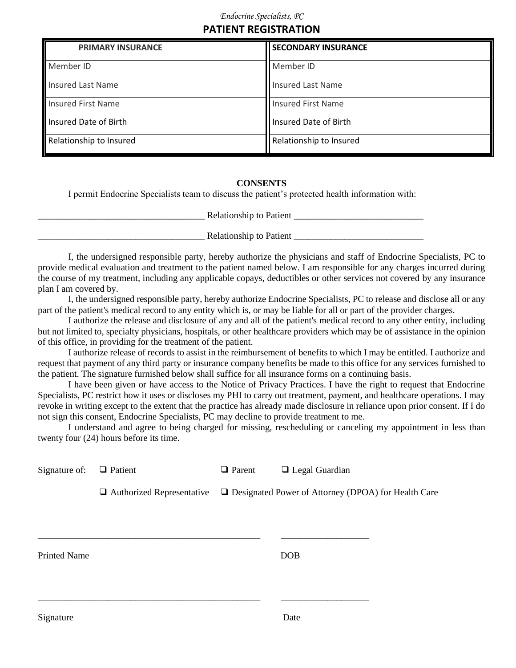### **PATIENT REGISTRATION**

| <b>PRIMARY INSURANCE</b> | <b>SECONDARY INSURANCE</b> |
|--------------------------|----------------------------|
| Member ID                | Member ID                  |
| Insured Last Name        | <b>Insured Last Name</b>   |
| Insured First Name       | <b>Insured First Name</b>  |
| Insured Date of Birth    | Insured Date of Birth      |
| Relationship to Insured  | Relationship to Insured    |

#### **CONSENTS**

I permit Endocrine Specialists team to discuss the patient's protected health information with:

Relationship to Patient  $\Box$ 

\_\_\_\_\_\_\_\_\_\_\_\_\_\_\_\_\_\_\_\_\_\_\_\_\_\_\_\_\_\_\_\_\_\_\_\_ Relationship to Patient \_\_\_\_\_\_\_\_\_\_\_\_\_\_\_\_\_\_\_\_\_\_\_\_\_\_\_\_

I, the undersigned responsible party, hereby authorize the physicians and staff of Endocrine Specialists, PC to provide medical evaluation and treatment to the patient named below. I am responsible for any charges incurred during the course of my treatment, including any applicable copays, deductibles or other services not covered by any insurance plan I am covered by.

I, the undersigned responsible party, hereby authorize Endocrine Specialists, PC to release and disclose all or any part of the patient's medical record to any entity which is, or may be liable for all or part of the provider charges.

I authorize the release and disclosure of any and all of the patient's medical record to any other entity, including but not limited to, specialty physicians, hospitals, or other healthcare providers which may be of assistance in the opinion of this office, in providing for the treatment of the patient.

I authorize release of records to assist in the reimbursement of benefits to which I may be entitled. I authorize and request that payment of any third party or insurance company benefits be made to this office for any services furnished to the patient. The signature furnished below shall suffice for all insurance forms on a continuing basis.

I have been given or have access to the Notice of Privacy Practices. I have the right to request that Endocrine Specialists, PC restrict how it uses or discloses my PHI to carry out treatment, payment, and healthcare operations. I may revoke in writing except to the extent that the practice has already made disclosure in reliance upon prior consent. If I do not sign this consent, Endocrine Specialists, PC may decline to provide treatment to me.

I understand and agree to being charged for missing, rescheduling or canceling my appointment in less than twenty four (24) hours before its time.

| Signature of:       | $\Box$ Patient | $\Box$ Parent | $\Box$ Legal Guardian                                                                       |
|---------------------|----------------|---------------|---------------------------------------------------------------------------------------------|
|                     |                |               | $\Box$ Authorized Representative $\Box$ Designated Power of Attorney (DPOA) for Health Care |
|                     |                |               |                                                                                             |
| <b>Printed Name</b> |                |               | <b>DOB</b>                                                                                  |
|                     |                |               |                                                                                             |
| Signature           |                |               | Date                                                                                        |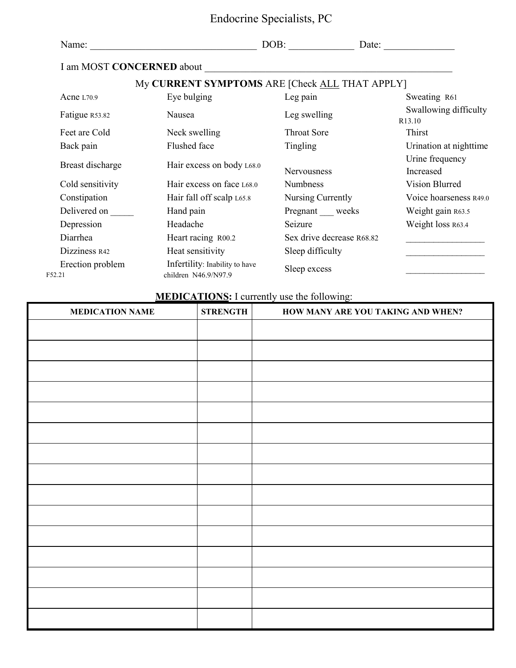| Endocrine Specialists, PC |  |
|---------------------------|--|
|---------------------------|--|

| Name:                      |                                                        | DOB:<br>Date:             |                                 |
|----------------------------|--------------------------------------------------------|---------------------------|---------------------------------|
| I am MOST CONCERNED about  |                                                        |                           |                                 |
|                            | My CURRENT SYMPTOMS ARE [Check ALL THAT APPLY]         |                           |                                 |
| Acne L70.9                 | Eye bulging                                            | Leg pain                  | Sweating R61                    |
| Fatigue R53.82             | Nausea                                                 | Leg swelling              | Swallowing difficulty<br>R13.10 |
| Feet are Cold              | Neck swelling                                          | <b>Throat Sore</b>        | Thirst                          |
| Back pain                  | Flushed face                                           | Tingling                  | Urination at nighttime          |
| Breast discharge           | Hair excess on body L68.0                              | Nervousness               | Urine frequency<br>Increased    |
| Cold sensitivity           | Hair excess on face L68.0                              | <b>Numbness</b>           | Vision Blurred                  |
| Constipation               | Hair fall off scalp L65.8                              | Nursing Currently         | Voice hoarseness R49.0          |
| Delivered on               | Hand pain                                              | Pregnant weeks            | Weight gain R63.5               |
| Depression                 | Headache                                               | Seizure                   | Weight loss R63.4               |
| Diarrhea                   | Heart racing R00.2                                     | Sex drive decrease R68.82 |                                 |
| Dizziness R42              | Heat sensitivity                                       | Sleep difficulty          |                                 |
| Erection problem<br>F52.21 | Infertility: Inability to have<br>children N46.9/N97.9 | Sleep excess              |                                 |

# **MEDICATIONS:** I currently use the following:

| <b>MEDICATION NAME</b> | <b>STRENGTH</b> | HOW MANY ARE YOU TAKING AND WHEN? |
|------------------------|-----------------|-----------------------------------|
|                        |                 |                                   |
|                        |                 |                                   |
|                        |                 |                                   |
|                        |                 |                                   |
|                        |                 |                                   |
|                        |                 |                                   |
|                        |                 |                                   |
|                        |                 |                                   |
|                        |                 |                                   |
|                        |                 |                                   |
|                        |                 |                                   |
|                        |                 |                                   |
|                        |                 |                                   |
|                        |                 |                                   |
|                        |                 |                                   |
|                        |                 |                                   |
|                        |                 |                                   |
|                        |                 |                                   |